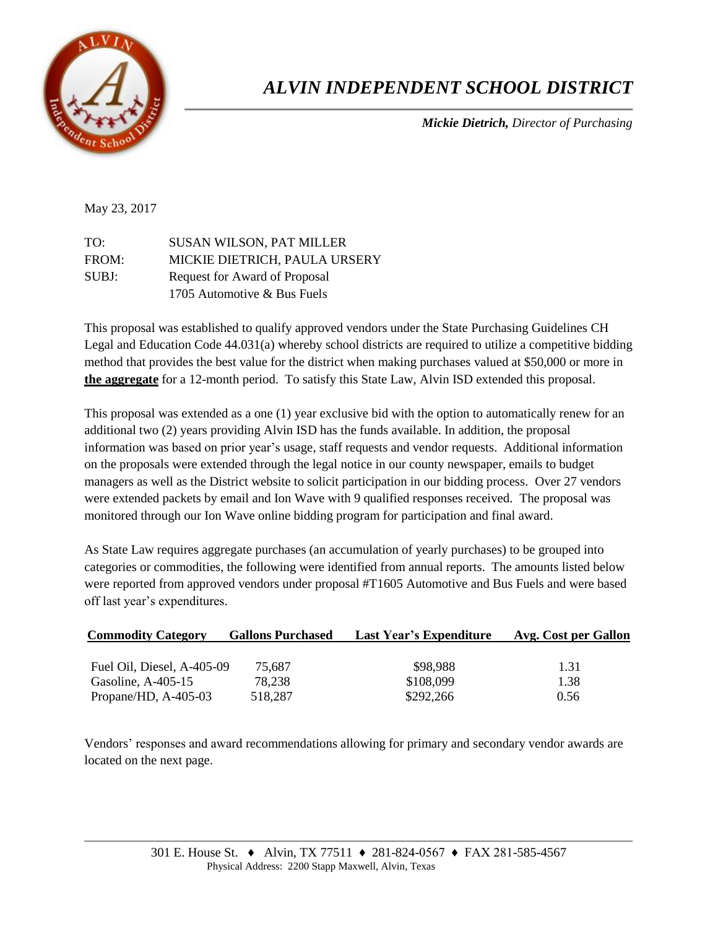

## *ALVIN INDEPENDENT SCHOOL DISTRICT*

*Mickie Dietrich, Director of Purchasing* 

## May 23, 2017

| TO:   | <b>SUSAN WILSON, PAT MILLER</b> |
|-------|---------------------------------|
| FROM: | MICKIE DIETRICH, PAULA URSERY   |
| SUBJ: | Request for Award of Proposal   |
|       | 1705 Automotive & Bus Fuels     |

This proposal was established to qualify approved vendors under the State Purchasing Guidelines CH Legal and Education Code 44.031(a) whereby school districts are required to utilize a competitive bidding method that provides the best value for the district when making purchases valued at \$50,000 or more in **the aggregate** for a 12-month period. To satisfy this State Law, Alvin ISD extended this proposal.

This proposal was extended as a one (1) year exclusive bid with the option to automatically renew for an additional two (2) years providing Alvin ISD has the funds available. In addition, the proposal information was based on prior year's usage, staff requests and vendor requests. Additional information on the proposals were extended through the legal notice in our county newspaper, emails to budget managers as well as the District website to solicit participation in our bidding process. Over 27 vendors were extended packets by email and Ion Wave with 9 qualified responses received. The proposal was monitored through our Ion Wave online bidding program for participation and final award.

As State Law requires aggregate purchases (an accumulation of yearly purchases) to be grouped into categories or commodities, the following were identified from annual reports. The amounts listed below were reported from approved vendors under proposal #T1605 Automotive and Bus Fuels and were based off last year's expenditures.

| <b>Commodity Category</b>  | <b>Gallons Purchased</b> | <b>Last Year's Expenditure</b> | Avg. Cost per Gallon |  |  |
|----------------------------|--------------------------|--------------------------------|----------------------|--|--|
|                            |                          |                                |                      |  |  |
| Fuel Oil, Diesel, A-405-09 | 75.687                   | \$98,988                       | 1.31                 |  |  |
| Gasoline, $A-405-15$       | 78,238                   | \$108,099                      | 1.38                 |  |  |
| Propane/HD, $A-405-03$     | 518,287                  | \$292,266                      | 0.56                 |  |  |

Vendors' responses and award recommendations allowing for primary and secondary vendor awards are located on the next page.